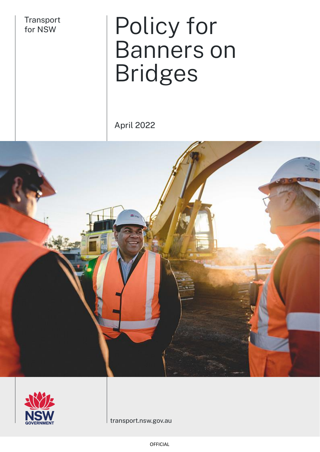Transport<br>for NSW

# Policy for Banners on Bridges

April 2022





transport.nsw.gov.au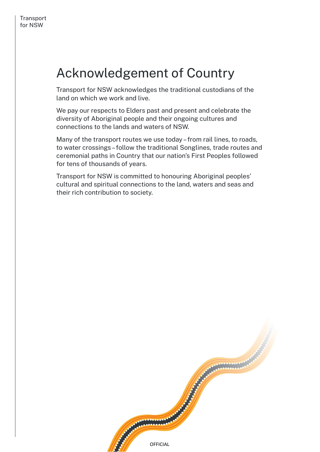# Acknowledgement of Country

Transport for NSW acknowledges the traditional custodians of the land on which we work and live.

We pay our respects to Elders past and present and celebrate the diversity of Aboriginal people and their ongoing cultures and connections to the lands and waters of NSW.

Many of the transport routes we use today – from rail lines, to roads, to water crossings –follow the traditional Songlines, trade routes and ceremonial paths in Country that our nation's First Peoples followed for tens of thousands of years.

Transport for NSW is committed to honouring Aboriginal peoples' cultural and spiritual connections to the land, waters and seas and their rich contribution to society.

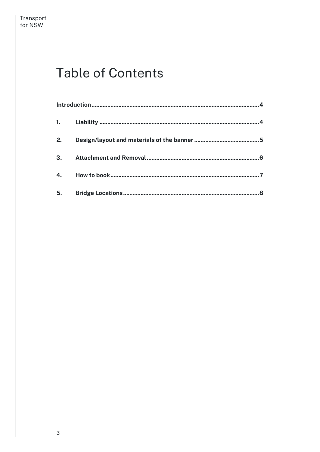# **Table of Contents**

| 2. |  |   |
|----|--|---|
| 3. |  |   |
|    |  |   |
|    |  | 8 |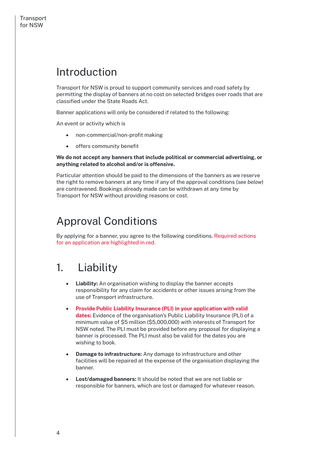### <span id="page-3-0"></span>Introduction

Transport for NSW is proud to support community services and road safety by permitting the display of banners at no cost on selected bridges over roads that are classified under the State Roads Act.

Banner applications will only be considered if related to the following:

An event or activity which is

- non-commercial/non-profit making
- offers community benefit

#### **We do not accept any banners that include political or commercial advertising, or anything related to alcohol and/or is offensive.**

Particular attention should be paid to the dimensions of the banners as we reserve the right to remove banners at any time if any of the approval conditions (*see below*) are contravened. Bookings already made can be withdrawn at any time by Transport for NSW without providing reasons or cost.

### Approval Conditions

By applying for a banner, you agree to the following conditions. Required actions for an application are highlighted in red.

### <span id="page-3-1"></span>1. Liability

- **Liability:** An organisation wishing to display the banner accepts responsibility for any claim for accidents or other issues arising from the use of Transport infrastructure.
- **Provide Public Liability Insurance (PLI) in your application with valid dates:** Evidence of the organisation's Public Liability Insurance (PLI) of a minimum value of \$5 million (\$5,000,000) with interests of Transport for NSW noted. The PLI must be provided before any proposal for displaying a banner is processed. The PLI must also be valid for the dates you are wishing to book.
- **Damage to infrastructure:** Any damage to infrastructure and other facilities will be repaired at the expense of the organisation displaying the banner.
- **Lost/damaged banners:** It should be noted that we are not liable or responsible for banners, which are lost or damaged for whatever reason.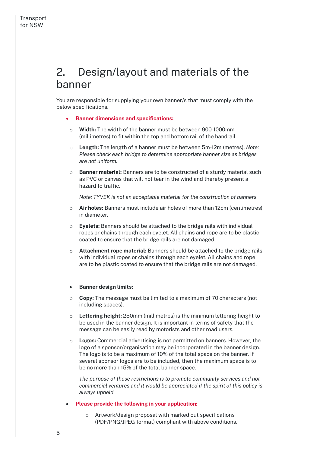### <span id="page-4-0"></span>2. Design/layout and materials of the banner

You are responsible for supplying your own banner/s that must comply with the below specifications.

- **Banner dimensions and specifications:**
- o **Width:** The width of the banner must be between 900-1000mm (millimetres) to fit within the top and bottom rail of the handrail.
- o **Length:** The length of a banner must be between 5m-12m (metres). *Note: Please check each bridge to determine appropriate banner size as bridges are not uniform.*
- o **Banner material:** Banners are to be constructed of a sturdy material such as PVC or canvas that will not tear in the wind and thereby present a hazard to traffic.

*Note: TYVEK is not an acceptable material for the construction of banners.*

- o **Air holes:** Banners must include air holes of more than 12cm (centimetres) in diameter.
- o **Eyelets:** Banners should be attached to the bridge rails with individual ropes or chains through each eyelet. All chains and rope are to be plastic coated to ensure that the bridge rails are not damaged.
- o **Attachment rope material:** Banners should be attached to the bridge rails with individual ropes or chains through each eyelet. All chains and rope are to be plastic coated to ensure that the bridge rails are not damaged.

#### • **Banner design limits:**

- o **Copy:** The message must be limited to a maximum of 70 characters (not including spaces).
- o **Lettering height:** 250mm (millimetres) is the minimum lettering height to be used in the banner design. It is important in terms of safety that the message can be easily read by motorists and other road users.
- o **Logos:** Commercial advertising is not permitted on banners. However, the logo of a sponsor/organisation may be incorporated in the banner design. The logo is to be a maximum of 10% of the total space on the banner. If several sponsor logos are to be included, then the maximum space is to be no more than 15% of the total banner space.

*The purpose of these restrictions is to promote community services and not commercial ventures and it would be appreciated if the spirit of this policy is always upheld*

- **Please provide the following in your application:**
	- o Artwork/design proposal with marked out specifications (PDF/PNG/JPEG format) compliant with above conditions.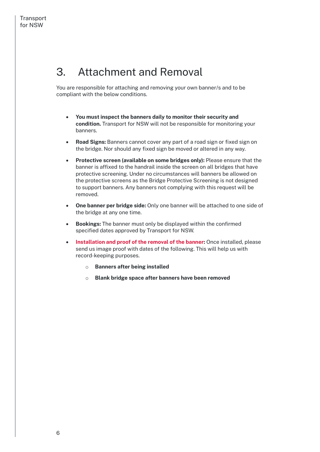### <span id="page-5-0"></span>3. Attachment and Removal

You are responsible for attaching and removing your own banner/s and to be compliant with the below conditions.

- **You must inspect the banners daily to monitor their security and condition.**Transport for NSW will not be responsible for monitoring your banners.
- **Road Signs:** Banners cannot cover any part of a road sign or fixed sign on the bridge. Nor should any fixed sign be moved or altered in any way.
- **Protective screen (available on some bridges only):** Please ensure that the banner is affixed to the handrail inside the screen on all bridges that have protective screening. Under no circumstances will banners be allowed on the protective screens as the Bridge Protective Screening is not designed to support banners. Any banners not complying with this request will be removed.
- **One banner per bridge side:** Only one banner will be attached to one side of the bridge at any one time.
- **Bookings:** The banner must only be displayed within the confirmed specified dates approved by Transport for NSW.
- **Installation and proof of the removal of the banner:** Once installed, please send us image proof with dates of the following. This will help us with record-keeping purposes.
	- o **Banners after being installed**
	- o **Blank bridge space after banners have been removed**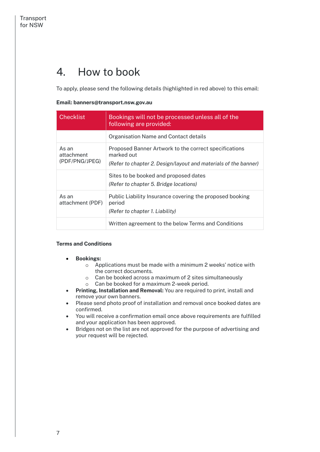### <span id="page-6-0"></span>4. How to book

To apply, please send the following details (highlighted in red above) to this email:

#### **Email: banners@transport.nsw.gov.au**

| <b>Checklist</b>                      | Bookings will not be processed unless all of the<br>following are provided:                                                            |
|---------------------------------------|----------------------------------------------------------------------------------------------------------------------------------------|
|                                       | Organisation Name and Contact details                                                                                                  |
| As an<br>attachment<br>(PDF/PNG/JPEG) | Proposed Banner Artwork to the correct specifications<br>marked out<br>(Refer to chapter 2. Design/layout and materials of the banner) |
|                                       | Sites to be booked and proposed dates<br>(Refer to chapter 5. Bridge locations)                                                        |
| As an<br>attachment (PDF)             | Public Liability Insurance covering the proposed booking<br>period<br>(Refer to chapter 1. Liability)                                  |
|                                       | Written agreement to the below Terms and Conditions                                                                                    |

#### **Terms and Conditions**

- **Bookings:** 
	- o Applications must be made with a minimum 2 weeks' notice with the correct documents.
	- o Can be booked across a maximum of 2 sites simultaneously o Can be booked for a maximum 2-week period.
- **Printing, Installation and Removal:** You are required to print, install and remove your own banners.
- Please send photo proof of installation and removal once booked dates are confirmed.
- You will receive a confirmation email once above requirements are fulfilled and your application has been approved.
- Bridges not on the list are not approved for the purpose of advertising and your request will be rejected.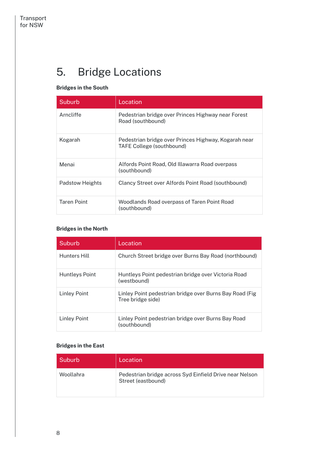## <span id="page-7-0"></span>5. Bridge Locations

### **Bridges in the South**

| Suburb             | Location                                                                          |
|--------------------|-----------------------------------------------------------------------------------|
| Arncliffe          | Pedestrian bridge over Princes Highway near Forest<br>Road (southbound)           |
| Kogarah            | Pedestrian bridge over Princes Highway, Kogarah near<br>TAFE College (southbound) |
| Menai              | Alfords Point Road, Old Illawarra Road overpass<br>(southbound)                   |
| Padstow Heights    | Clancy Street over Alfords Point Road (southbound)                                |
| <b>Taren Point</b> | Woodlands Road overpass of Taren Point Road<br>(southbound)                       |

### **Bridges in the North**

| Suburb         | Location                                                                      |
|----------------|-------------------------------------------------------------------------------|
| Hunters Hill   | Church Street bridge over Burns Bay Road (northbound)                         |
| Huntleys Point | Huntleys Point pedestrian bridge over Victoria Road<br>(westbound)            |
| Linley Point   | Linley Point pedestrian bridge over Burns Bay Road (Fig.<br>Tree bridge side) |
| Linley Point   | Linley Point pedestrian bridge over Burns Bay Road<br>(southbound)            |

#### **Bridges in the East**

| Suburb    | Location                                                                      |
|-----------|-------------------------------------------------------------------------------|
| Woollahra | Pedestrian bridge across Syd Einfield Drive near Nelson<br>Street (eastbound) |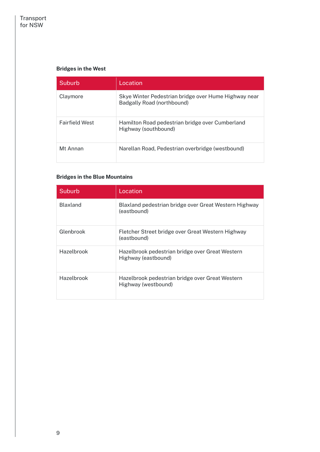### **Bridges in the West**

| Suburb                | Location                                                                           |
|-----------------------|------------------------------------------------------------------------------------|
| Claymore              | Skye Winter Pedestrian bridge over Hume Highway near<br>Badgally Road (northbound) |
| <b>Fairfield West</b> | Hamilton Road pedestrian bridge over Cumberland<br>Highway (southbound)            |
| Mt Annan              | Narellan Road, Pedestrian overbridge (westbound)                                   |

#### **Bridges in the Blue Mountains**

| Suburb          | Location                                                               |
|-----------------|------------------------------------------------------------------------|
| <b>Blaxland</b> | Blaxland pedestrian bridge over Great Western Highway<br>(eastbound)   |
| Glenbrook       | Fletcher Street bridge over Great Western Highway<br>(eastbound)       |
| Hazelbrook      | Hazelbrook pedestrian bridge over Great Western<br>Highway (eastbound) |
| Hazelbrook      | Hazelbrook pedestrian bridge over Great Western<br>Highway (westbound) |